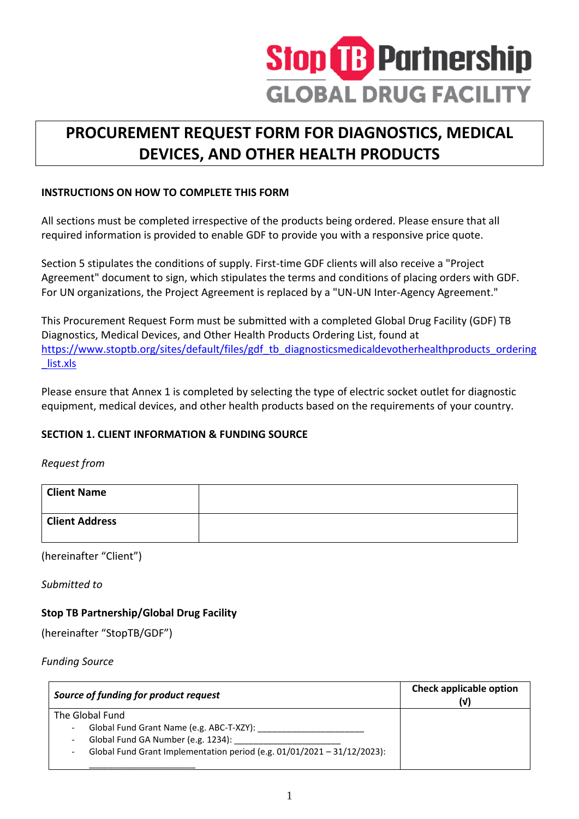

# **PROCUREMENT REQUEST FORM FOR DIAGNOSTICS, MEDICAL DEVICES, AND OTHER HEALTH PRODUCTS**

## **INSTRUCTIONS ON HOW TO COMPLETE THIS FORM**

All sections must be completed irrespective of the products being ordered. Please ensure that all required information is provided to enable GDF to provide you with a responsive price quote.

Section 5 stipulates the conditions of supply. First-time GDF clients will also receive a "Project Agreement" document to sign, which stipulates the terms and conditions of placing orders with GDF. For UN organizations, the Project Agreement is replaced by a "UN-UN Inter-Agency Agreement."

This Procurement Request Form must be submitted with a completed Global Drug Facility (GDF) TB Diagnostics, Medical Devices, and Other Health Products Ordering List, found at [https://www.stoptb.org/sites/default/files/gdf\\_tb\\_diagnosticsmedicaldevotherhealthproducts\\_ordering](https://www.stoptb.org/sites/default/files/gdf_tb_diagnosticsmedicaldevotherhealthproducts_ordering_list.xls) [\\_list.xls](https://www.stoptb.org/sites/default/files/gdf_tb_diagnosticsmedicaldevotherhealthproducts_ordering_list.xls)

Please ensure that Annex 1 is completed by selecting the type of electric socket outlet for diagnostic equipment, medical devices, and other health products based on the requirements of your country.

# **SECTION 1. CLIENT INFORMATION & FUNDING SOURCE**

## *Request from*

| <b>Client Name</b>    |  |
|-----------------------|--|
| <b>Client Address</b> |  |

(hereinafter "Client")

*Submitted to*

# **Stop TB Partnership/Global Drug Facility**

(hereinafter "StopTB/GDF")

*Funding Source*

| Source of funding for product request                                                                                                                                        | <b>Check applicable option</b> |
|------------------------------------------------------------------------------------------------------------------------------------------------------------------------------|--------------------------------|
| The Global Fund<br>Global Fund Grant Name (e.g. ABC-T-XZY):<br>Global Fund GA Number (e.g. 1234):<br>Global Fund Grant Implementation period (e.g. 01/01/2021 - 31/12/2023): |                                |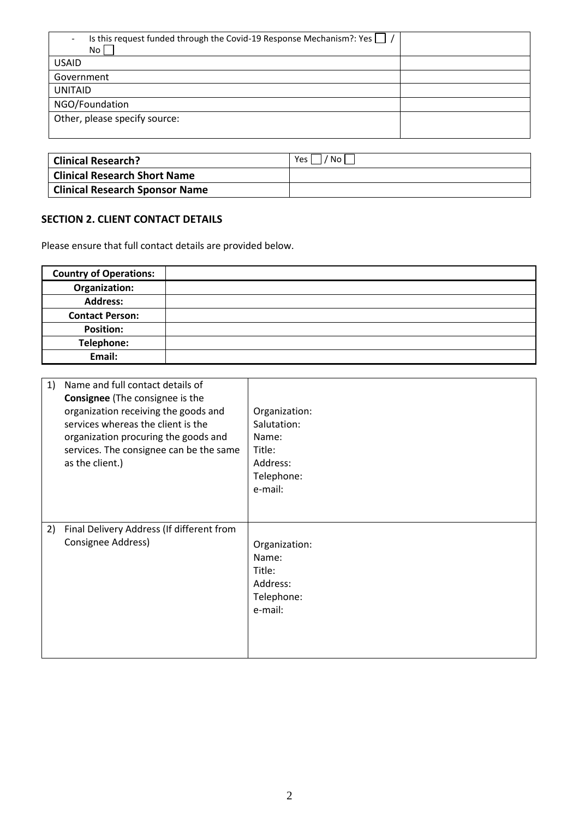| Is this request funded through the Covid-19 Response Mechanism?: Yes $\vert \ \vert$ /<br>No l |  |
|------------------------------------------------------------------------------------------------|--|
| <b>USAID</b>                                                                                   |  |
| Government                                                                                     |  |
| <b>UNITAID</b>                                                                                 |  |
| NGO/Foundation                                                                                 |  |
| Other, please specify source:                                                                  |  |
|                                                                                                |  |

| Clinical Research?                  | Yes <sub>1</sub><br>'Noı |
|-------------------------------------|--------------------------|
| <b>Clinical Research Short Name</b> |                          |
| Clinical Research Sponsor Name      |                          |

### **SECTION 2. CLIENT CONTACT DETAILS**

Please ensure that full contact details are provided below.

| <b>Country of Operations:</b> |  |
|-------------------------------|--|
| Organization:                 |  |
| <b>Address:</b>               |  |
| <b>Contact Person:</b>        |  |
| <b>Position:</b>              |  |
| Telephone:                    |  |
| Email:                        |  |

| 1) | Name and full contact details of<br><b>Consignee</b> (The consignee is the<br>organization receiving the goods and<br>services whereas the client is the<br>organization procuring the goods and<br>services. The consignee can be the same<br>as the client.) | Organization:<br>Salutation:<br>Name:<br>Title:<br>Address:<br>Telephone:<br>e-mail: |
|----|----------------------------------------------------------------------------------------------------------------------------------------------------------------------------------------------------------------------------------------------------------------|--------------------------------------------------------------------------------------|
| 2) | Final Delivery Address (If different from<br>Consignee Address)                                                                                                                                                                                                | Organization:<br>Name:<br>Title:<br>Address:<br>Telephone:<br>e-mail:                |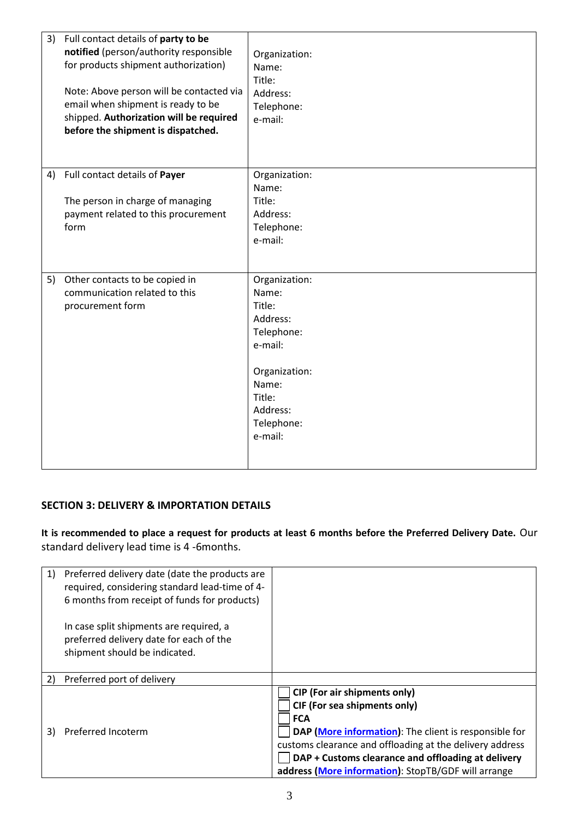| 3) Full contact details of party to be<br>notified (person/authority responsible<br>for products shipment authorization)<br>Note: Above person will be contacted via<br>email when shipment is ready to be<br>shipped. Authorization will be required<br>before the shipment is dispatched. | Organization:<br>Name:<br>Title:<br>Address:<br>Telephone:<br>e-mail:                                                                          |
|---------------------------------------------------------------------------------------------------------------------------------------------------------------------------------------------------------------------------------------------------------------------------------------------|------------------------------------------------------------------------------------------------------------------------------------------------|
| 4) Full contact details of Payer<br>The person in charge of managing<br>payment related to this procurement<br>form                                                                                                                                                                         | Organization:<br>Name:<br>Title:<br>Address:<br>Telephone:<br>e-mail:                                                                          |
| 5) Other contacts to be copied in<br>communication related to this<br>procurement form                                                                                                                                                                                                      | Organization:<br>Name:<br>Title:<br>Address:<br>Telephone:<br>e-mail:<br>Organization:<br>Name:<br>Title:<br>Address:<br>Telephone:<br>e-mail: |

#### **SECTION 3: DELIVERY & IMPORTATION DETAILS**

**It is recommended to place a request for products at least 6 months before the Preferred Delivery Date.** Our standard delivery lead time is 4 -6months.

| 1) | Preferred delivery date (date the products are<br>required, considering standard lead-time of 4-                    |                                                                                                                                                                                                                                                                                                                     |
|----|---------------------------------------------------------------------------------------------------------------------|---------------------------------------------------------------------------------------------------------------------------------------------------------------------------------------------------------------------------------------------------------------------------------------------------------------------|
|    | 6 months from receipt of funds for products)                                                                        |                                                                                                                                                                                                                                                                                                                     |
|    | In case split shipments are required, a<br>preferred delivery date for each of the<br>shipment should be indicated. |                                                                                                                                                                                                                                                                                                                     |
| 2) | Preferred port of delivery                                                                                          |                                                                                                                                                                                                                                                                                                                     |
| 3) | Preferred Incoterm                                                                                                  | <b>CIP (For air shipments only)</b><br>CIF (For sea shipments only)<br><b>FCA</b><br>DAP (More information): The client is responsible for<br>customs clearance and offloading at the delivery address<br>DAP + Customs clearance and offloading at delivery<br>address (More information): StopTB/GDF will arrange |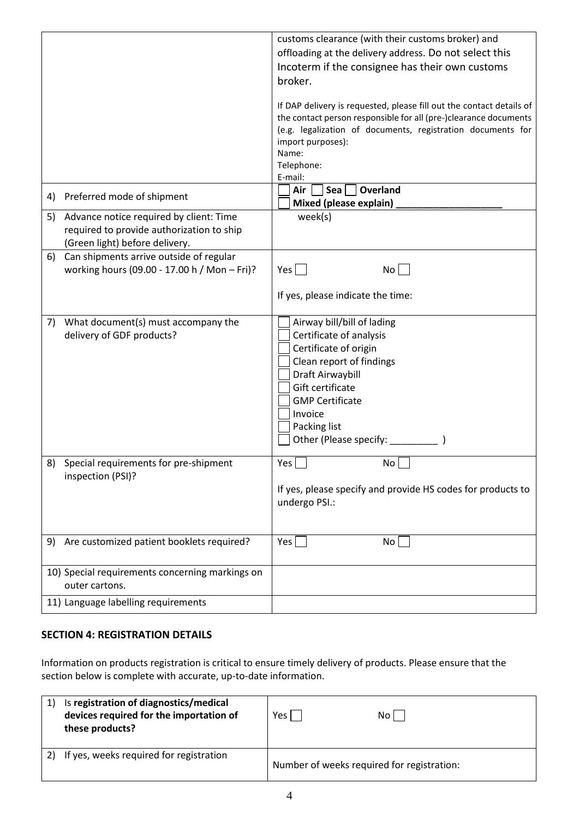|    |                                                 | customs clearance (with their customs broker) and                    |
|----|-------------------------------------------------|----------------------------------------------------------------------|
|    |                                                 |                                                                      |
|    |                                                 | offloading at the delivery address. Do not select this               |
|    |                                                 | Incoterm if the consignee has their own customs                      |
|    |                                                 | broker.                                                              |
|    |                                                 |                                                                      |
|    |                                                 | If DAP delivery is requested, please fill out the contact details of |
|    |                                                 | the contact person responsible for all (pre-)clearance documents     |
|    |                                                 | (e.g. legalization of documents, registration documents for          |
|    |                                                 | import purposes):                                                    |
|    |                                                 | Name:                                                                |
|    |                                                 | Telephone:                                                           |
|    |                                                 | E-mail:                                                              |
|    |                                                 | Sea $ $<br>Overland<br>Air                                           |
|    | 4) Preferred mode of shipment                   |                                                                      |
|    |                                                 | Mixed (please explain)                                               |
|    | 5) Advance notice required by client: Time      | week(s)                                                              |
|    | required to provide authorization to ship       |                                                                      |
|    | (Green light) before delivery.                  |                                                                      |
| 6) | Can shipments arrive outside of regular         |                                                                      |
|    | working hours (09.00 - 17.00 h / Mon - Fri)?    | No<br>$Yes \mid \mid$                                                |
|    |                                                 |                                                                      |
|    |                                                 | If yes, please indicate the time:                                    |
|    |                                                 |                                                                      |
|    |                                                 |                                                                      |
| 7) | What document(s) must accompany the             | Airway bill/bill of lading                                           |
|    | delivery of GDF products?                       | Certificate of analysis                                              |
|    |                                                 | Certificate of origin                                                |
|    |                                                 | Clean report of findings                                             |
|    |                                                 | Draft Airwaybill                                                     |
|    |                                                 | Gift certificate                                                     |
|    |                                                 | <b>GMP Certificate</b>                                               |
|    |                                                 | Invoice                                                              |
|    |                                                 |                                                                      |
|    |                                                 | Packing list                                                         |
|    |                                                 | Other (Please specify: ______                                        |
|    |                                                 |                                                                      |
| 8) | Special requirements for pre-shipment           | Yes $\Box$<br>No [                                                   |
|    | inspection (PSI)?                               |                                                                      |
|    |                                                 | If yes, please specify and provide HS codes for products to          |
|    |                                                 | undergo PSI.:                                                        |
|    |                                                 |                                                                      |
|    |                                                 |                                                                      |
|    | 9) Are customized patient booklets required?    | Yes  <br>No                                                          |
|    |                                                 |                                                                      |
|    |                                                 |                                                                      |
|    | 10) Special requirements concerning markings on |                                                                      |
|    | outer cartons.                                  |                                                                      |
|    | 11) Language labelling requirements             |                                                                      |
|    |                                                 |                                                                      |

#### **SECTION 4: REGISTRATION DETAILS**

Information on products registration is critical to ensure timely delivery of products. Please ensure that the section below is complete with accurate, up-to-date information.

| 1) | Is registration of diagnostics/medical<br>devices required for the importation of<br>these products? | Yes l                                      | No l |
|----|------------------------------------------------------------------------------------------------------|--------------------------------------------|------|
| 2) | If yes, weeks required for registration                                                              | Number of weeks required for registration: |      |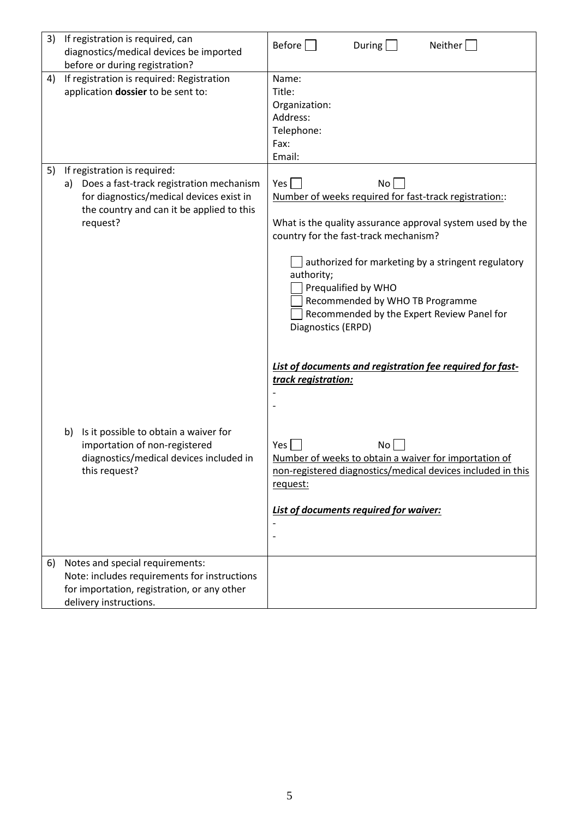| 3) | If registration is required, can<br>diagnostics/medical devices be imported<br>before or during registration?                                                                       | Before<br>During<br>Neither                                                                                                                                                                                                                                                                                                                                                 |
|----|-------------------------------------------------------------------------------------------------------------------------------------------------------------------------------------|-----------------------------------------------------------------------------------------------------------------------------------------------------------------------------------------------------------------------------------------------------------------------------------------------------------------------------------------------------------------------------|
| 4) | If registration is required: Registration<br>application dossier to be sent to:                                                                                                     | Name:<br>Title:<br>Organization:<br>Address:<br>Telephone:<br>Fax:<br>Email:                                                                                                                                                                                                                                                                                                |
| 5) | If registration is required:<br>Does a fast-track registration mechanism<br>a)<br>for diagnostics/medical devices exist in<br>the country and can it be applied to this<br>request? | Yes<br>No<br>Number of weeks required for fast-track registration::<br>What is the quality assurance approval system used by the<br>country for the fast-track mechanism?<br>authorized for marketing by a stringent regulatory<br>authority;<br>Prequalified by WHO<br>Recommended by WHO TB Programme<br>Recommended by the Expert Review Panel for<br>Diagnostics (ERPD) |
|    | Is it possible to obtain a waiver for<br>b)<br>importation of non-registered<br>diagnostics/medical devices included in<br>this request?                                            | List of documents and registration fee required for fast-<br>track registration:<br>No<br>Yes  <br>Number of weeks to obtain a waiver for importation of<br>non-registered diagnostics/medical devices included in this<br>request:<br>List of documents required for waiver:                                                                                               |
| 6) | Notes and special requirements:<br>Note: includes requirements for instructions<br>for importation, registration, or any other<br>delivery instructions.                            |                                                                                                                                                                                                                                                                                                                                                                             |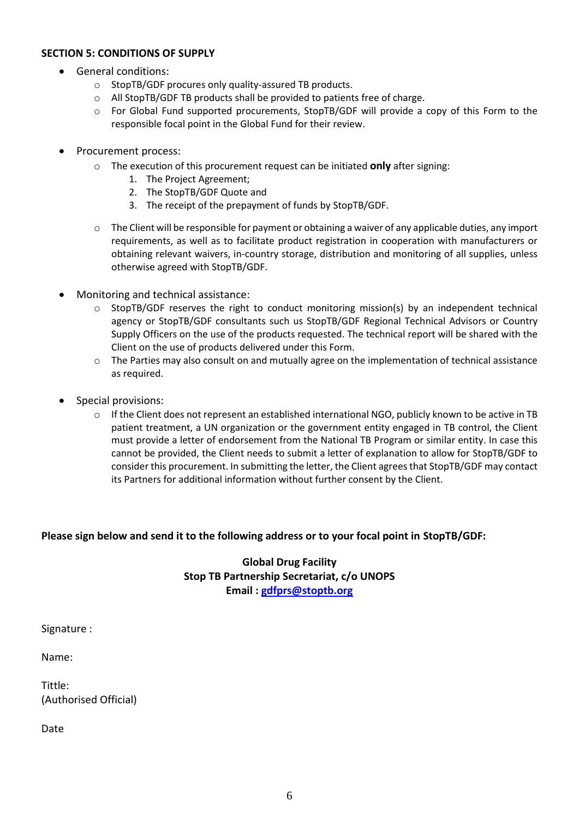#### **SECTION 5: CONDITIONS OF SUPPLY**

- General conditions:
	- o StopTB/GDF procures only quality-assured TB products.
	- o All StopTB/GDF TB products shall be provided to patients free of charge.
	- o For Global Fund supported procurements, StopTB/GDF will provide a copy of this Form to the responsible focal point in the Global Fund for their review.
- Procurement process:
	- o The execution of this procurement request can be initiated **only** after signing:
		- 1. The Project Agreement;
		- 2. The StopTB/GDF Quote and
		- 3. The receipt of the prepayment of funds by StopTB/GDF.
	- $\circ$  The Client will be responsible for payment or obtaining a waiver of any applicable duties, any import requirements, as well as to facilitate product registration in cooperation with manufacturers or obtaining relevant waivers, in-country storage, distribution and monitoring of all supplies, unless otherwise agreed with StopTB/GDF.
- Monitoring and technical assistance:
	- $\circ$  StopTB/GDF reserves the right to conduct monitoring mission(s) by an independent technical agency or StopTB/GDF consultants such us StopTB/GDF Regional Technical Advisors or Country Supply Officers on the use of the products requested. The technical report will be shared with the Client on the use of products delivered under this Form.
	- $\circ$  The Parties may also consult on and mutually agree on the implementation of technical assistance as required.
- Special provisions:
	- $\circ$  If the Client does not represent an established international NGO, publicly known to be active in TB patient treatment, a UN organization or the government entity engaged in TB control, the Client must provide a letter of endorsement from the National TB Program or similar entity. In case this cannot be provided, the Client needs to submit a letter of explanation to allow for StopTB/GDF to consider this procurement. In submitting the letter, the Client agrees that StopTB/GDF may contact its Partners for additional information without further consent by the Client.

#### **Please sign below and send it to the following address or to your focal point in StopTB/GDF:**

### **Global Drug Facility Stop TB Partnership Secretariat, c/o UNOPS Email : [gdfprs@stoptb.org](mailto:gdfprs@stoptb.org)**

Signature :

Name:

Tittle: (Authorised Official)

Date